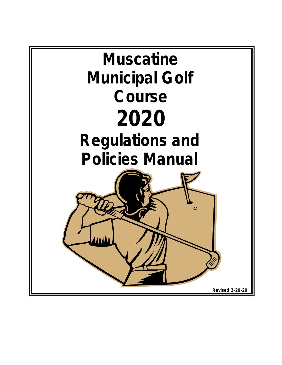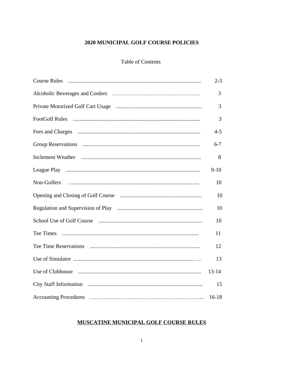## 2020 MUNICIPAL GOLF COURSE POLICIES

#### **Table of Contents**

|             | $2 - 3$   |
|-------------|-----------|
|             | 3         |
|             | 3         |
|             | 3         |
|             | $4 - 5$   |
|             | $6 - 7$   |
|             | 8         |
|             | $9 - 10$  |
| Non-Golfers | 10        |
|             | 10        |
|             | 10        |
|             | 10        |
|             | 11        |
|             | 12        |
|             | 13        |
|             | $13 - 14$ |
|             | 15        |
|             | $16-18$   |

## MUSCATINE MUNICIPAL GOLF COURSE RULES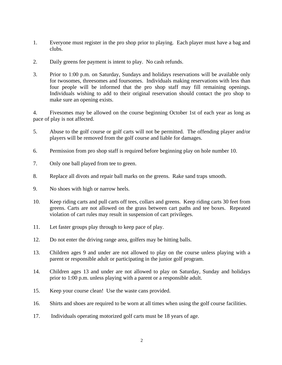- 1. Everyone must register in the pro shop prior to playing. Each player must have a bag and clubs.
- 2. Daily greens fee payment is intent to play. No cash refunds.
- 3. Prior to 1:00 p.m. on Saturday, Sundays and holidays reservations will be available only for twosomes, threesomes and foursomes. Individuals making reservations with less than four people will be informed that the pro shop staff may fill remaining openings. Individuals wishing to add to their original reservation should contact the pro shop to make sure an opening exists.

4. Fivesomes may be allowed on the course beginning October 1st of each year as long as pace of play is not affected.

- 5. Abuse to the golf course or golf carts will not be permitted. The offending player and/or players will be removed from the golf course and liable for damages.
- 6. Permission from pro shop staff is required before beginning play on hole number 10.
- 7. Only one ball played from tee to green.
- 8. Replace all divots and repair ball marks on the greens. Rake sand traps smooth.
- 9. No shoes with high or narrow heels.
- 10. Keep riding carts and pull carts off tees, collars and greens. Keep riding carts 30 feet from greens. Carts are not allowed on the grass between cart paths and tee boxes. Repeated violation of cart rules may result in suspension of cart privileges.
- 11. Let faster groups play through to keep pace of play.
- 12. Do not enter the driving range area, golfers may be hitting balls.
- 13. Children ages 9 and under are not allowed to play on the course unless playing with a parent or responsible adult or participating in the junior golf program.
- 14. Children ages 13 and under are not allowed to play on Saturday, Sunday and holidays prior to 1:00 p.m. unless playing with a parent or a responsible adult.
- 15. Keep your course clean! Use the waste cans provided.
- 16. Shirts and shoes are required to be worn at all times when using the golf course facilities.
- 17. Individuals operating motorized golf carts must be 18 years of age.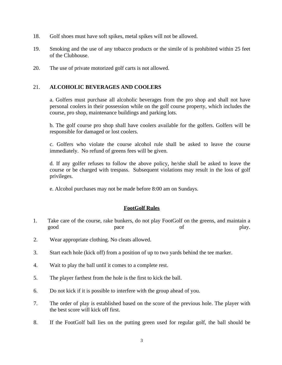- 18. Golf shoes must have soft spikes, metal spikes will not be allowed.
- 19. Smoking and the use of any tobacco products or the simile of is prohibited within 25 feet of the Clubhouse.
- 20. The use of private motorized golf carts is not allowed.

#### 21. **ALCOHOLIC BEVERAGES AND COOLERS**

a. Golfers must purchase all alcoholic beverages from the pro shop and shall not have personal coolers in their possession while on the golf course property, which includes the course, pro shop, maintenance buildings and parking lots.

b. The golf course pro shop shall have coolers available for the golfers. Golfers will be responsible for damaged or lost coolers.

c. Golfers who violate the course alcohol rule shall be asked to leave the course immediately. No refund of greens fees will be given.

d. If any golfer refuses to follow the above policy, he/she shall be asked to leave the course or be charged with trespass. Subsequent violations may result in the loss of golf privileges.

e. Alcohol purchases may not be made before 8:00 am on Sundays.

## **FootGolf Rules**

- 1. Take care of the course, rake bunkers, do not play FootGolf on the greens, and maintain a good pace pace of play.
- 2. Wear appropriate clothing. No cleats allowed.
- 3. Start each hole (kick off) from a position of up to two yards behind the tee marker.
- 4. Wait to play the ball until it comes to a complete rest.
- 5. The player farthest from the hole is the first to kick the ball.
- 6. Do not kick if it is possible to interfere with the group ahead of you.
- 7. The order of play is established based on the score of the previous hole. The player with the best score will kick off first.
- 8. If the FootGolf ball lies on the putting green used for regular golf, the ball should be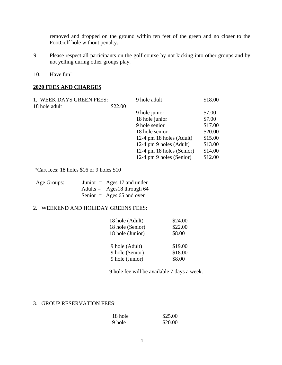removed and dropped on the ground within ten feet of the green and no closer to the FootGolf hole without penalty.

- 9. Please respect all participants on the golf course by not kicking into other groups and by not yelling during other groups play.
- 10. Have fun!

#### **2020 FEES AND CHARGES**

| 1. WEEK DAYS GREEN FEES: |         | 9 hole adult              | \$18.00 |
|--------------------------|---------|---------------------------|---------|
| 18 hole adult            | \$22.00 |                           |         |
|                          |         | 9 hole junior             | \$7.00  |
|                          |         | 18 hole junior            | \$7.00  |
|                          |         | 9 hole senior             | \$17.00 |
|                          |         | 18 hole senior            | \$20.00 |
|                          |         | 12-4 pm 18 holes (Adult)  | \$15.00 |
|                          |         | 12-4 pm 9 holes (Adult)   | \$13.00 |
|                          |         | 12-4 pm 18 holes (Senior) | \$14.00 |
|                          |         | 12-4 pm 9 holes (Senior)  | \$12.00 |

\*Cart fees: 18 holes \$16 or 9 holes \$10

| Age Groups: | Junior $=$ Ages 17 and under        |
|-------------|-------------------------------------|
|             | Adults = $\text{Ages18}$ through 64 |
|             | Senior = Ages 65 and over           |

#### 2. WEEKEND AND HOLIDAY GREENS FEES:

| 18 hole (Adult)  | \$24.00 |
|------------------|---------|
| 18 hole (Senior) | \$22.00 |
| 18 hole (Junior) | \$8.00  |
|                  |         |
| 9 hole (Adult)   | \$19.00 |
| 9 hole (Senior)  | \$18.00 |
| 9 hole (Junior)  | \$8.00  |

9 hole fee will be available 7 days a week.

#### 3. GROUP RESERVATION FEES:

| 18 hole | \$25.00 |
|---------|---------|
| 9 hole  | \$20.00 |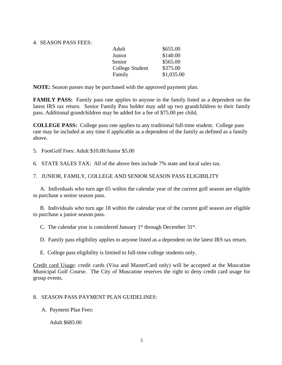#### 4. SEASON PASS FEES:

| Adult           | \$655.00   |
|-----------------|------------|
| Junior          | \$140.00   |
| Senior          | \$565.00   |
| College Student | \$375.00   |
| Family          | \$1,035.00 |
|                 |            |

**NOTE:** Season passes may be purchased with the approved payment plan.

**FAMILY PASS:** Family pass rate applies to anyone in the family listed as a dependent on the latest IRS tax return. Senior Family Pass holder may add up two grandchildren to their family pass. Additional grandchildren may be added for a fee of \$75.00 per child.

**COLLEGE PASS:** College pass rate applies to any traditional full-time student. College pass rate may be included at any time if applicable as a dependent of the family as defined as a family above.

5. FootGolf Fees: Adult \$10.00/Junior \$5.00

6. STATE SALES TAX: All of the above fees include 7% state and local sales tax.

#### 7. JUNIOR, FAMILY, COLLEGE AND SENIOR SEASON PASS ELIGIBILITY

A. Individuals who turn age 65 within the calendar year of the current golf season are eligible to purchase a senior season pass.

B. Individuals who turn age 18 within the calendar year of the current golf season are eligible to purchase a junior season pass.

C. The calendar year is considered January  $1<sup>st</sup>$  through December 31 $<sup>st</sup>$ .</sup>

D. Family pass eligibility applies to anyone listed as a dependent on the latest IRS tax return.

E. College pass eligibility is limited to full-time college students only.

Credit card Usage: credit cards (Visa and MasterCard only) will be accepted at the Muscatine Municipal Golf Course. The City of Muscatine reserves the right to deny credit card usage for group events.

#### 8. SEASON PASS PAYMENT PLAN GUIDELINES:

A. Payment Plan Fees:

Adult \$685.00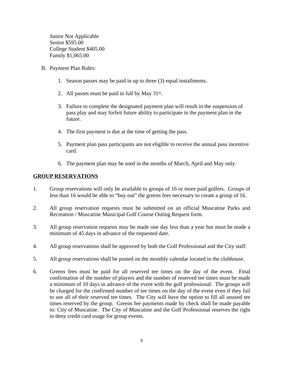Junior Not Applicable Senior \$595.00 College Student \$405.00 Family \$1,065.00

- B. Payment Plan Rules:
	- 1. Season passes may be paid in up to three (3) equal installments.
	- 2. All passes must be paid in full by May  $31^{st}$ .
	- 3. Failure to complete the designated payment plan will result in the suspension of pass play and may forfeit future ability to participate in the payment plan in the future.
	- 4. The first payment is due at the time of getting the pass.
	- 5. Payment plan pass participants are not eligible to receive the annual pass incentive card.
	- 6. The payment plan may be used in the months of March, April and May only.

## **GROUP RESERVATIONS**

- 1. Group reservations will only be available to groups of 16 or more paid golfers. Groups of less than 16 would be able to "buy out" the greens fees necessary to create a group of 16.
- 2. All group reservation requests must be submitted on an official Muscatine Parks and Recreation / Muscatine Municipal Golf Course Outing Request form.
- 3. All group reservation requests may be made one day less than a year but must be made a minimum of 45 days in advance of the requested date.
- 4. All group reservations shall be approved by both the Golf Professional and the City staff.
- 5. All group reservations shall be posted on the monthly calendar located in the clubhouse.
- 6. Greens fees must be paid for all reserved tee times on the day of the event. Final confirmation of the number of players and the number of reserved tee times must be made a minimum of 10 days in advance of the event with the golf professional. The groups will be charged for the confirmed number of tee times on the day of the event even if they fail to use all of their reserved tee times. The City will have the option to fill all unused tee times reserved by the group. Greens fee payments made by check shall be made payable to: City of Muscatine. The City of Muscatine and the Golf Professional reserves the right to deny credit card usage for group events.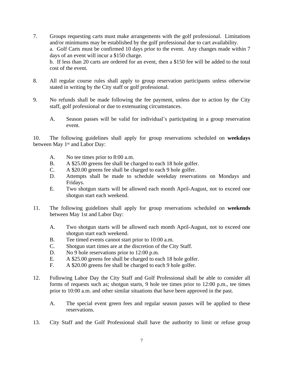- 7. Groups requesting carts must make arrangements with the golf professional. Limitations and/or minimums may be established by the golf professional due to cart availability. a. Golf Carts must be confirmed 10 days prior to the event. Any changes made within 7 days of an event will incur a \$150 charge. b. If less than 20 carts are ordered for an event, then a \$150 fee will be added to the total cost of the event.
- 8. All regular course rules shall apply to group reservation participants unless otherwise stated in writing by the City staff or golf professional.
- 9. No refunds shall be made following the fee payment, unless due to action by the City staff, golf professional or due to extenuating circumstances.
	- A. Season passes will be valid for individual's participating in a group reservation event.

10. The following guidelines shall apply for group reservations scheduled on **weekdays** between May 1<sup>st</sup> and Labor Day:

- A. No tee times prior to 8:00 a.m.
- B. A \$25.00 greens fee shall be charged to each 18 hole golfer.
- C. A \$20.00 greens fee shall be charged to each 9 hole golfer.
- D. Attempts shall be made to schedule weekday reservations on Mondays and Fridays.
- E. Two shotgun starts will be allowed each month April-August, not to exceed one shotgun start each weekend.
- 11. The following guidelines shall apply for group reservations scheduled on **weekends** between May 1st and Labor Day:
	- A. Two shotgun starts will be allowed each month April-August, not to exceed one shotgun start each weekend.
	- B. Tee timed events cannot start prior to 10:00 a.m.
	- C. Shotgun start times are at the discretion of the City Staff.
	- D. No 9 hole reservations prior to 12:00 p.m.
	- E. A \$25.00 greens fee shall be charged to each 18 hole golfer.<br>F. A \$20.00 greens fee shall be charged to each 9 hole golfer.
	- A \$20.00 greens fee shall be charged to each 9 hole golfer.
- 12. Following Labor Day the City Staff and Golf Professional shall be able to consider all forms of requests such as; shotgun starts, 9 hole tee times prior to 12:00 p.m., tee times prior to 10:00 a.m. and other similar situations that have been approved in the past.
	- A. The special event green fees and regular season passes will be applied to these reservations.
- 13. City Staff and the Golf Professional shall have the authority to limit or refuse group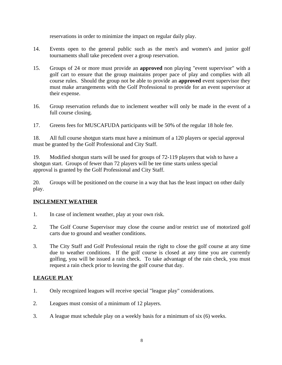reservations in order to minimize the impact on regular daily play.

- 14. Events open to the general public such as the men's and women's and junior golf tournaments shall take precedent over a group reservation.
- 15. Groups of 24 or more must provide an **approved** non playing "event supervisor" with a golf cart to ensure that the group maintains proper pace of play and complies with all course rules. Should the group not be able to provide an **approved** event supervisor they must make arrangements with the Golf Professional to provide for an event supervisor at their expense.
- 16. Group reservation refunds due to inclement weather will only be made in the event of a full course closing.
- 17. Greens fees for MUSCAFUDA participants will be 50% of the regular 18 hole fee.

18. All full course shotgun starts must have a minimum of a 120 players or special approval must be granted by the Golf Professional and City Staff.

19. Modified shotgun starts will be used for groups of 72-119 players that wish to have a shotgun start. Groups of fewer than 72 players will be tee time starts unless special approval is granted by the Golf Professional and City Staff.

20. Groups will be positioned on the course in a way that has the least impact on other daily play.

## **INCLEMENT WEATHER**

- 1. In case of inclement weather, play at your own risk.
- 2. The Golf Course Supervisor may close the course and/or restrict use of motorized golf carts due to ground and weather conditions.
- 3. The City Staff and Golf Professional retain the right to close the golf course at any time due to weather conditions. If the golf course is closed at any time you are currently golfing, you will be issued a rain check. To take advantage of the rain check, you must request a rain check prior to leaving the golf course that day.

## **LEAGUE PLAY**

- 1. Only recognized leagues will receive special "league play" considerations.
- 2. Leagues must consist of a minimum of 12 players.
- 3. A league must schedule play on a weekly basis for a minimum of six (6) weeks.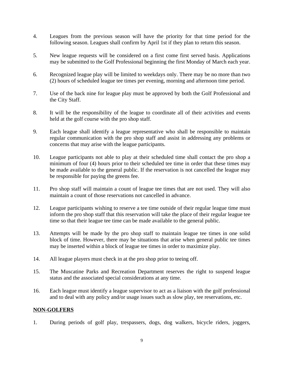- 4. Leagues from the previous season will have the priority for that time period for the following season. Leagues shall confirm by April 1st if they plan to return this season.
- 5. New league requests will be considered on a first come first served basis. Applications may be submitted to the Golf Professional beginning the first Monday of March each year.
- 6. Recognized league play will be limited to weekdays only. There may be no more than two (2) hours of scheduled league tee times per evening, morning and afternoon time period.
- 7. Use of the back nine for league play must be approved by both the Golf Professional and the City Staff.
- 8. It will be the responsibility of the league to coordinate all of their activities and events held at the golf course with the pro shop staff.
- 9. Each league shall identify a league representative who shall be responsible to maintain regular communication with the pro shop staff and assist in addressing any problems or concerns that may arise with the league participants.
- 10. League participants not able to play at their scheduled time shall contact the pro shop a minimum of four (4) hours prior to their scheduled tee time in order that these times may be made available to the general public. If the reservation is not cancelled the league may be responsible for paying the greens fee.
- 11. Pro shop staff will maintain a count of league tee times that are not used. They will also maintain a count of those reservations not cancelled in advance.
- 12. League participants wishing to reserve a tee time outside of their regular league time must inform the pro shop staff that this reservation will take the place of their regular league tee time so that their league tee time can be made available to the general public.
- 13. Attempts will be made by the pro shop staff to maintain league tee times in one solid block of time. However, there may be situations that arise when general public tee times may be inserted within a block of league tee times in order to maximize play.
- 14. All league players must check in at the pro shop prior to teeing off.
- 15. The Muscatine Parks and Recreation Department reserves the right to suspend league status and the associated special considerations at any time.
- 16. Each league must identify a league supervisor to act as a liaison with the golf professional and to deal with any policy and/or usage issues such as slow play, tee reservations, etc.

#### **NON-GOLFERS**

1. During periods of golf play, trespassers, dogs, dog walkers, bicycle riders, joggers,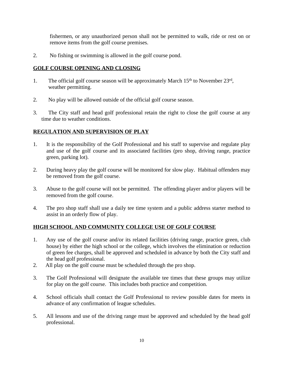fishermen, or any unauthorized person shall not be permitted to walk, ride or rest on or remove items from the golf course premises.

2. No fishing or swimming is allowed in the golf course pond.

## **GOLF COURSE OPENING AND CLOSING**

- 1. The official golf course season will be approximately March 15<sup>th</sup> to November 23<sup>rd</sup>, weather permitting.
- 2. No play will be allowed outside of the official golf course season.
- 3. The City staff and head golf professional retain the right to close the golf course at any time due to weather conditions.

## **REGULATION AND SUPERVISION OF PLAY**

- 1. It is the responsibility of the Golf Professional and his staff to supervise and regulate play and use of the golf course and its associated facilities (pro shop, driving range, practice green, parking lot).
- 2. During heavy play the golf course will be monitored for slow play. Habitual offenders may be removed from the golf course.
- 3. Abuse to the golf course will not be permitted. The offending player and/or players will be removed from the golf course.
- 4. The pro shop staff shall use a daily tee time system and a public address starter method to assist in an orderly flow of play.

## **HIGH SCHOOL AND COMMUNITY COLLEGE USE OF GOLF COURSE**

- 1. Any use of the golf course and/or its related facilities (driving range, practice green, club house) by either the high school or the college, which involves the elimination or reduction of green fee charges, shall be approved and scheduled in advance by both the City staff and the head golf professional.
- 2. All play on the golf course must be scheduled through the pro shop.
- 3. The Golf Professional will designate the available tee times that these groups may utilize for play on the golf course. This includes both practice and competition.
- 4. School officials shall contact the Golf Professional to review possible dates for meets in advance of any confirmation of league schedules.
- 5. All lessons and use of the driving range must be approved and scheduled by the head golf professional.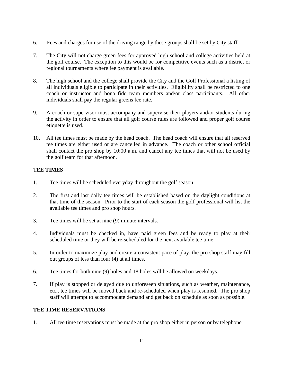- 6. Fees and charges for use of the driving range by these groups shall be set by City staff.
- 7. The City will not charge green fees for approved high school and college activities held at the golf course. The exception to this would be for competitive events such as a district or regional tournaments where fee payment is available.
- 8. The high school and the college shall provide the City and the Golf Professional a listing of all individuals eligible to participate in their activities. Eligibility shall be restricted to one coach or instructor and bona fide team members and/or class participants. All other individuals shall pay the regular greens fee rate.
- 9. A coach or supervisor must accompany and supervise their players and/or students during the activity in order to ensure that all golf course rules are followed and proper golf course etiquette is used.
- 10. All tee times must be made by the head coach. The head coach will ensure that all reserved tee times are either used or are cancelled in advance. The coach or other school official shall contact the pro shop by 10:00 a.m. and cancel any tee times that will not be used by the golf team for that afternoon.

## T**EE TIMES**

- 1. Tee times will be scheduled everyday throughout the golf season.
- 2. The first and last daily tee times will be established based on the daylight conditions at that time of the season. Prior to the start of each season the golf professional will list the available tee times and pro shop hours.
- 3. Tee times will be set at nine (9) minute intervals.
- 4. Individuals must be checked in, have paid green fees and be ready to play at their scheduled time or they will be re-scheduled for the next available tee time.
- 5. In order to maximize play and create a consistent pace of play, the pro shop staff may fill out groups of less than four (4) at all times.
- 6. Tee times for both nine (9) holes and 18 holes will be allowed on weekdays.
- 7. If play is stopped or delayed due to unforeseen situations, such as weather, maintenance, etc., tee times will be moved back and re-scheduled when play is resumed. The pro shop staff will attempt to accommodate demand and get back on schedule as soon as possible.

## **TEE TIME RESERVATIONS**

1. All tee time reservations must be made at the pro shop either in person or by telephone.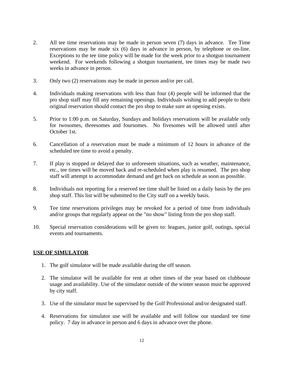- 2. All tee time reservations may be made in person seven (7) days in advance. Tee Time reservations may be made six (6) days in advance in person, by telephone or on-line. Exceptions to the tee time policy will be made for the week prior to a shotgun tournament weekend. For weekends following a shotgun tournament, tee times may be made two weeks in advance in person.
- 3. Only two (2) reservations may be made in person and/or per call.
- 4. Individuals making reservations with less than four (4) people will be informed that the pro shop staff may fill any remaining openings. Individuals wishing to add people to their original reservation should contact the pro shop to make sure an opening exists.
- 5. Prior to 1:00 p.m. on Saturday, Sundays and holidays reservations will be available only for twosomes, threesomes and foursomes. No fivesomes will be allowed until after October 1st.
- 6. Cancellation of a reservation must be made a minimum of 12 hours in advance of the scheduled tee time to avoid a penalty.
- 7. If play is stopped or delayed due to unforeseen situations, such as weather, maintenance, etc., tee times will be moved back and re-scheduled when play is resumed. The pro shop staff will attempt to accommodate demand and get back on schedule as soon as possible.
- 8. Individuals not reporting for a reserved tee time shall be listed on a daily basis by the pro shop staff. This list will be submitted to the City staff on a weekly basis.
- 9. Tee time reservations privileges may be revoked for a period of time from individuals and/or groups that regularly appear on the "no show" listing from the pro shop staff.
- 10. Special reservation considerations will be given to: leagues, junior golf, outings, special events and tournaments.

#### **USE OF SIMULATOR**

- 1. The golf simulator will be made available during the off season.
- 2. The simulator will be available for rent at other times of the year based on clubhouse usage and availability. Use of the simulator outside of the winter season must be approved by city staff.
- 3. Use of the simulator must be supervised by the Golf Professional and/or designated staff.
- 4. Reservations for simulator use will be available and will follow our standard tee time policy. 7 day in advance in person and 6 days in advance over the phone.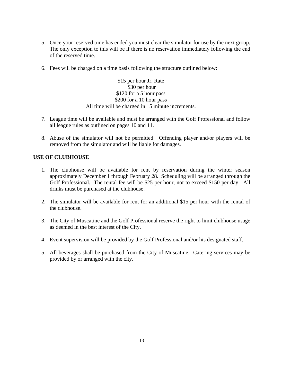- 5. Once your reserved time has ended you must clear the simulator for use by the next group. The only exception to this will be if there is no reservation immediately following the end of the reserved time.
- 6. Fees will be charged on a time basis following the structure outlined below:

\$15 per hour Jr. Rate \$30 per hour \$120 for a 5 hour pass \$200 for a 10 hour pass All time will be charged in 15 minute increments.

- 7. League time will be available and must be arranged with the Golf Professional and follow all league rules as outlined on pages 10 and 11.
- 8. Abuse of the simulator will not be permitted. Offending player and/or players will be removed from the simulator and will be liable for damages.

## **USE OF CLUBHOUSE**

- 1. The clubhouse will be available for rent by reservation during the winter season approximately December 1 through February 28. Scheduling will be arranged through the Golf Professional. The rental fee will be \$25 per hour, not to exceed \$150 per day. All drinks must be purchased at the clubhouse.
- 2. The simulator will be available for rent for an additional \$15 per hour with the rental of the clubhouse.
- 3. The City of Muscatine and the Golf Professional reserve the right to limit clubhouse usage as deemed in the best interest of the City.
- 4. Event supervision will be provided by the Golf Professional and/or his designated staff.
- 5. All beverages shall be purchased from the City of Muscatine. Catering services may be provided by or arranged with the city.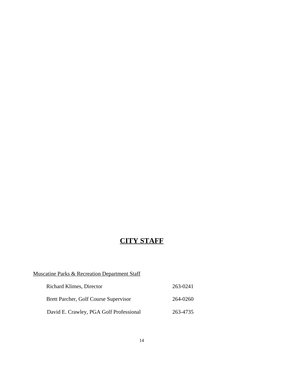# **CITY STAFF**

## Muscatine Parks & Recreation Department Staff

| <b>Richard Klimes, Director</b>         | 263-0241 |
|-----------------------------------------|----------|
| Brett Parcher, Golf Course Supervisor   | 264-0260 |
| David E. Crawley, PGA Golf Professional | 263-4735 |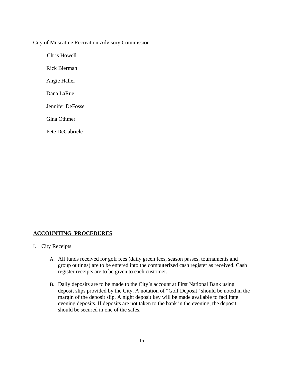#### City of Muscatine Recreation Advisory Commission

Chris Howell

Rick Bierman

Angie Haller

Dana LaRue

Jennifer DeFosse

Gina Othmer

Pete DeGabriele

## **ACCOUNTING PROCEDURES**

#### I. City Receipts

- A. All funds received for golf fees (daily green fees, season passes, tournaments and group outings) are to be entered into the computerized cash register as received. Cash register receipts are to be given to each customer.
- B. Daily deposits are to be made to the City's account at First National Bank using deposit slips provided by the City. A notation of "Golf Deposit" should be noted in the margin of the deposit slip. A night deposit key will be made available to facilitate evening deposits. If deposits are not taken to the bank in the evening, the deposit should be secured in one of the safes.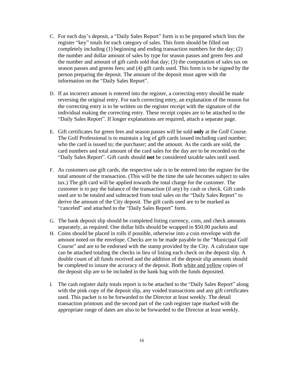- C. For each day's deposit, a "Daily Sales Report" form is to be prepared which lists the register "key" totals for each category of sales. This form should be filled out completely including (1) beginning and ending transaction numbers for the day; (2) the number and dollar amount of sales by type for season passes and green fees and the number and amount of gift cards sold that day; (3) the computation of sales tax on season passes and greens fees; and (4) gift cards used. This form is to be signed by the person preparing the deposit. The amount of the deposit must agree with the information on the "Daily Sales Report".
- D. If an incorrect amount is entered into the register, a correcting entry should be made reversing the original entry. For each correcting entry, an explanation of the reason for the correcting entry is to be written on the register receipt with the signature of the individual making the correcting entry. These receipt copies are to be attached to the "Daily Sales Report". If longer explanations are required, attach a separate page.
- E. Gift certificates for green fees and season passes will be sold **only** at the Golf Course. The Golf Professional is to maintain a log of gift cards issued including card number; who the card is issued to; the purchaser; and the amount. As the cards are sold, the card numbers and total amount of the card sales for the day are to be recorded on the "Daily Sales Report". Gift cards should **not** be considered taxable sales until used.
- F. As customers use gift cards, the respective sale is to be entered into the register for the total amount of the transaction. (This will be the time the sale becomes subject to sales tax.) The gift card will be applied towards the total charge for the customer. The customer is to pay the balance of the transaction (if any) by cash or check. Gift cards used are to be totaled and subtracted from total sales on the "Daily Sales Report" to derive the amount of the City deposit. The gift cards used are to be marked as "canceled" and attached to the "Daily Sales Report" form.
- G. The bank deposit slip should be completed listing currency, coin, and check amounts separately, as required. One dollar bills should be wrapped in \$50.00 packets and
- H. Coins should be placed in rolls if possible, otherwise into a coin envelope with the amount noted on the envelope. Checks are to be made payable to the "Municipal Golf Course" and are to be endorsed with the stamp provided by the City. A calculator tape can be attached totaling the checks in lieu of listing each check on the deposit slip. A double count of all funds received and the addition of the deposit slip amounts should be completed to insure the accuracy of the deposit. Both white and yellow copies of the deposit slip are to be included in the bank bag with the funds deposited.
- I. The cash register daily totals report is to be attached to the "Daily Sales Report" along with the pink copy of the deposit slip, any voided transactions and any gift certificates used. This packet is to be forwarded to the Director at least weekly. The detail transaction printouts and the second part of the cash register tape marked with the appropriate range of dates are also to be forwarded to the Director at least weekly.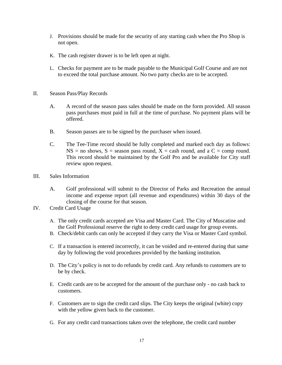- J. Provisions should be made for the security of any starting cash when the Pro Shop is not open.
- K. The cash register drawer is to be left open at night.
- L. Checks for payment are to be made payable to the Municipal Golf Course and are not to exceed the total purchase amount. No two party checks are to be accepted.
- II. Season Pass/Play Records
	- A. A record of the season pass sales should be made on the form provided. All season pass purchases must paid in full at the time of purchase. No payment plans will be offered.
	- B. Season passes are to be signed by the purchaser when issued.
	- C. The Tee-Time record should be fully completed and marked each day as follows:  $NS = no$  shows,  $S =$  season pass round,  $X =$  cash round, and a  $C =$  comp round. This record should be maintained by the Golf Pro and be available for City staff review upon request.
- III. Sales Information
	- A. Golf professional will submit to the Director of Parks and Recreation the annual income and expense report (all revenue and expenditures) within 30 days of the closing of the course for that season.
- IV. Credit Card Usage
	- A. The only credit cards accepted are Visa and Master Card. The City of Muscatine and the Golf Professional reserve the right to deny credit card usage for group events.
	- B. Check/debit cards can only be accepted if they carry the Visa or Master Card symbol.
	- C. If a transaction is entered incorrectly, it can be voided and re-entered during that same day by following the void procedures provided by the banking institution.
	- D. The City's policy is not to do refunds by credit card. Any refunds to customers are to be by check.
	- E. Credit cards are to be accepted for the amount of the purchase only no cash back to customers.
	- F. Customers are to sign the credit card slips. The City keeps the original (white) copy with the yellow given back to the customer.
	- G. For any credit card transactions taken over the telephone, the credit card number